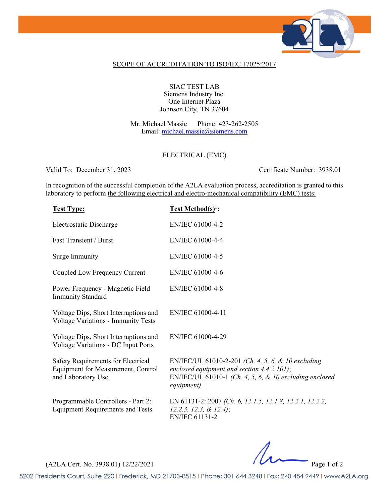

## SCOPE OF ACCREDITATION TO ISO/IEC 17025:2017

### SIAC TEST LAB Siemens Industry Inc. One Internet Plaza Johnson City, TN 37604

Mr. Michael Massie Phone: 423-262-2505 Email: [michael.massie@siemens.com](mailto:michael.massie@siemens.com)

## ELECTRICAL (EMC)

Valid To: December 31, 2023 Certificate Number: 3938.01

In recognition of the successful completion of the A2LA evaluation process, accreditation is granted to this laboratory to perform the following electrical and electro-mechanical compatibility (EMC) tests:

| <b>Test Type:</b>                                                                              | <b>Test Method(s)<sup>1</sup>:</b>                                                                                                                                          |
|------------------------------------------------------------------------------------------------|-----------------------------------------------------------------------------------------------------------------------------------------------------------------------------|
| Electrostatic Discharge                                                                        | EN/IEC 61000-4-2                                                                                                                                                            |
| <b>Fast Transient / Burst</b>                                                                  | EN/IEC 61000-4-4                                                                                                                                                            |
| Surge Immunity                                                                                 | EN/IEC 61000-4-5                                                                                                                                                            |
| Coupled Low Frequency Current                                                                  | EN/IEC 61000-4-6                                                                                                                                                            |
| Power Frequency - Magnetic Field<br><b>Immunity Standard</b>                                   | EN/IEC 61000-4-8                                                                                                                                                            |
| Voltage Dips, Short Interruptions and<br>Voltage Variations - Immunity Tests                   | EN/IEC 61000-4-11                                                                                                                                                           |
| Voltage Dips, Short Interruptions and<br>Voltage Variations - DC Input Ports                   | EN/IEC 61000-4-29                                                                                                                                                           |
| Safety Requirements for Electrical<br>Equipment for Measurement, Control<br>and Laboratory Use | EN/IEC/UL 61010-2-201 (Ch. 4, 5, 6, & 10 excluding<br>enclosed equipment and section $4.4.2.101$ ;<br>EN/IEC/UL 61010-1 (Ch. 4, 5, 6, & 10 excluding enclosed<br>equipment) |
| Programmable Controllers - Part 2:<br><b>Equipment Requirements and Tests</b>                  | EN 61131-2: 2007 (Ch. 6, 12.1.5, 12.1.8, 12.2.1, 12.2.2,<br>$12.2.3, 12.3, \& 12.4);$<br><b>EN/IEC 61131-2</b>                                                              |

(A2LA Cert. No. 3938.01) 12/22/2021 Page 1 of 2

5202 Presidents Court, Suite 220 | Frederick, MD 21703-8515 | Phone: 301 644 3248 | Fax: 240 454 9449 | www.A2LA.org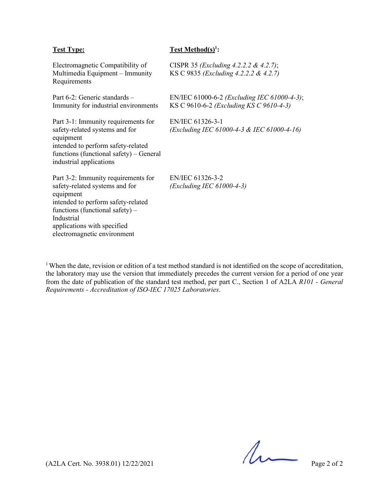## **Test Type: Test Method(s)1 :**

| Electromagnetic Compatibility of<br>Multimedia Equipment – Immunity<br>Requirements                                                                                                                                                       | CISPR 35 ( <i>Excluding 4.2.2.2 &amp; 4.2.7</i> );<br>KS C 9835 ( <i>Excluding 4.2.2.2 &amp; 4.2.7</i> ) |
|-------------------------------------------------------------------------------------------------------------------------------------------------------------------------------------------------------------------------------------------|----------------------------------------------------------------------------------------------------------|
| Part 6-2: Generic standards -<br>Immunity for industrial environments                                                                                                                                                                     | EN/IEC 61000-6-2 ( <i>Excluding IEC 61000-4-3</i> );<br>KS C 9610-6-2 ( <i>Excluding KS C 9610-4-3</i> ) |
| Part 3-1: Immunity requirements for<br>safety-related systems and for<br>equipment<br>intended to perform safety-related<br>functions (functional safety) – General<br>industrial applications                                            | EN/IEC 61326-3-1<br>(Excluding IEC 61000-4-3 & IEC 61000-4-16)                                           |
| Part 3-2: Immunity requirements for<br>safety-related systems and for<br>equipment<br>intended to perform safety-related<br>functions (functional safety) $-$<br>Industrial<br>applications with specified<br>electromagnetic environment | EN/IEC 61326-3-2<br>$(Excluding IEC 61000-4-3)$                                                          |

<sup>1</sup> When the date, revision or edition of a test method standard is not identified on the scope of accreditation, the laboratory may use the version that immediately precedes the current version for a period of one year from the date of publication of the standard test method, per part C., Section 1 of A2LA *R101 - General Requirements - Accreditation of ISO-IEC 17025 Laboratories*.

 $(A2LA$  Cert. No. 3938.01) 12/22/2021 Page 2 of 2